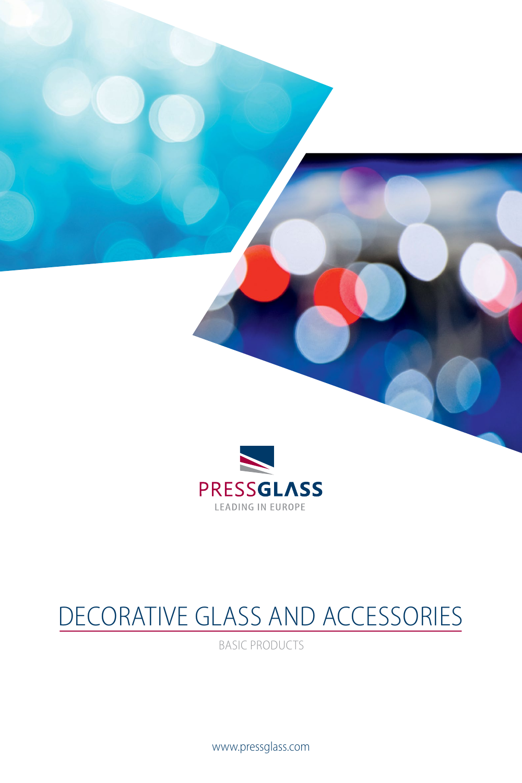

## DECORATIVE GLASS AND ACCESSORIES

BASIC PRODUCTS

www.pressglass.com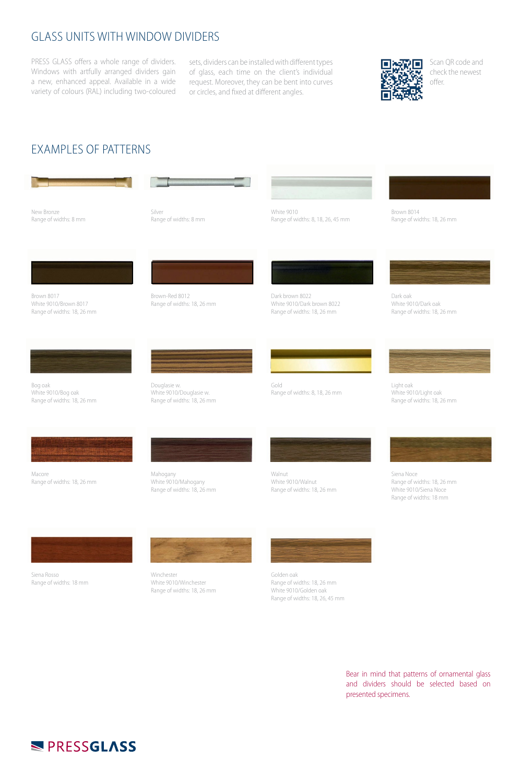## GLASS UNITS WITH WINDOW DIVIDERS

PRESS GLASS offers a whole range of dividers. Windows with artfully arranged dividers gain a new, enhanced appeal. Available in a wide variety of colours (RAL) including two-coloured

sets, dividers can be installed with different types of glass, each time on the client's individual request. Moreover, they can be bent into curves or circles, and fixed at different angles.



Scan QR code and check the newest offer.

## EXAMPLES OF PATTERNS



New Bronze Range of widths: 8 mm

Silver Range of widths: 8 mm White 9010

Range of widths: 8, 18, 26, 45 mm



Range of widths: 18, 26 mm

Brown 8017 White 9010/Brown 8017 Range of widths: 18, 26 mm

Brown-Red 8012 Range of widths: 18, 26 mm



Dark brown 8022 White 9010/Dark brown 8022 Range of widths: 18, 26 mm

Gold

Dark oak White 9010/Dark oak Range of widths: 18, 26 mm

Light oak White 9010/Light oak Range of widths: 18, 26 mm

Bog oak White 9010/Bog oak Range of widths: 18, 26 mm

Range of widths: 18, 26 mm

Macore

Douglasie w. White 9010/Douglasie w. Range of widths: 18, 26 mm

> Mahogany White 9010/Mahogany Range of widths: 18, 26 mm



Range of widths: 8, 18, 26 mm

Walnut White 9010/Walnut Range of widths: 18, 26 mm



Siena Noce Range of widths: 18, 26 mm White 9010/Siena Noce Range of widths: 18 mm

Siena Rosso Range of widths: 18 mm



Winchester White 9010/Winchester Range of widths: 18, 26 mm



Golden oak Range of widths: 18, 26 mm White 9010/Golden oak Range of widths: 18, 26, 45 mm

> Bear in mind that patterns of ornamental glass and dividers should be selected based on presented specimens.

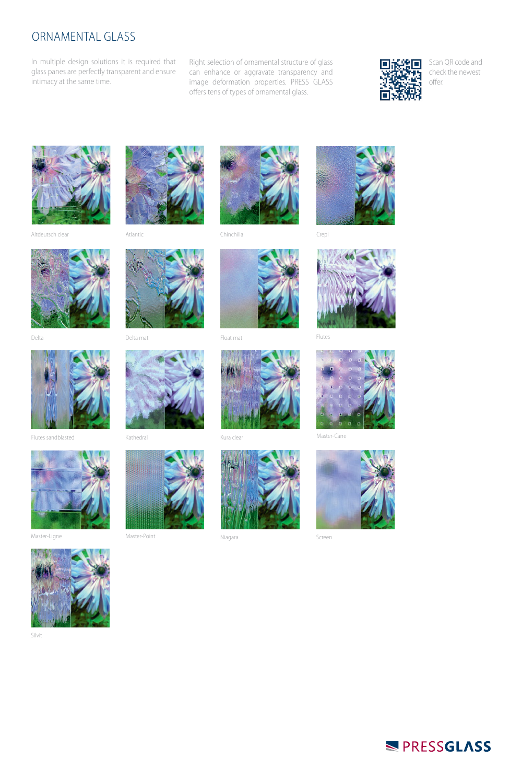## ORNAMENTAL GLASS

In multiple design solutions it is required that glass panes are perfectly transparent and ensure intimacy at the same time.

Right selection of ornamental structure of glass can enhance or aggravate transparency and image deformation properties. PRESS GLASS offers tens of types of ornamental glass.



Scan QR code and check the newest offer.



Altdeutsch clear Atlantic Chinchilla Crepi

















Screen



Flutes sandblasted













Silvit